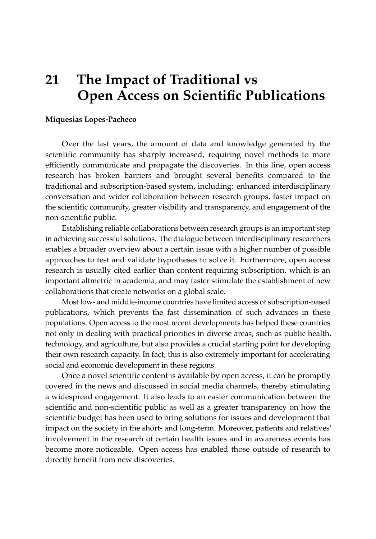## **21 The Impact of Traditional vs Open Access on Scientific Publications**

## **Miquesias Lopes-Pacheco**

Over the last years, the amount of data and knowledge generated by the scientific community has sharply increased, requiring novel methods to more efficiently communicate and propagate the discoveries. In this line, open access research has broken barriers and brought several benefits compared to the traditional and subscription-based system, including: enhanced interdisciplinary conversation and wider collaboration between research groups, faster impact on the scientific community, greater visibility and transparency, and engagement of the non-scientific public.

Establishing reliable collaborations between research groups is an important step in achieving successful solutions. The dialogue between interdisciplinary researchers enables a broader overview about a certain issue with a higher number of possible approaches to test and validate hypotheses to solve it. Furthermore, open access research is usually cited earlier than content requiring subscription, which is an important altmetric in academia, and may faster stimulate the establishment of new collaborations that create networks on a global scale.

Most low- and middle-income countries have limited access of subscription-based publications, which prevents the fast dissemination of such advances in these populations. Open access to the most recent developments has helped these countries not only in dealing with practical priorities in diverse areas, such as public health, technology, and agriculture, but also provides a crucial starting point for developing their own research capacity. In fact, this is also extremely important for accelerating social and economic development in these regions.

Once a novel scientific content is available by open access, it can be promptly covered in the news and discussed in social media channels, thereby stimulating a widespread engagement. It also leads to an easier communication between the scientific and non-scientific public as well as a greater transparency on how the scientific budget has been used to bring solutions for issues and development that impact on the society in the short- and long-term. Moreover, patients and relatives' involvement in the research of certain health issues and in awareness events has become more noticeable. Open access has enabled those outside of research to directly benefit from new discoveries.